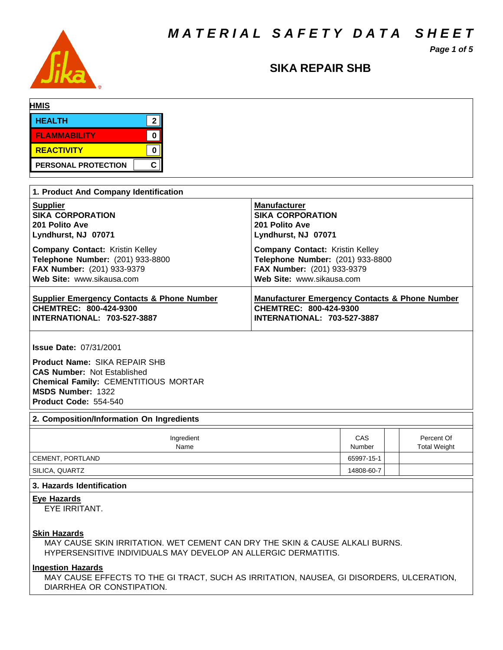*M A T E R I A L S A F E T Y D A T A S H E E T*

*Page 1 of 5*



### **SIKA REPAIR SHB**

| <b>HMIS</b>         |           |
|---------------------|-----------|
| <b>HEALTH</b>       |           |
| <b>FLAMMABILITY</b> |           |
| REACTIVITY          |           |
| PERSONAL PROTECTION | ◠<br>. Gr |

| 1. Product And Company Identification                 |                                                           |
|-------------------------------------------------------|-----------------------------------------------------------|
| <b>Supplier</b>                                       | <b>Manufacturer</b>                                       |
| <b>SIKA CORPORATION</b>                               | <b>SIKA CORPORATION</b>                                   |
| 201 Polito Ave                                        | 201 Polito Ave                                            |
| Lyndhurst, NJ 07071                                   | Lyndhurst, NJ 07071                                       |
| <b>Company Contact: Kristin Kelley</b>                | <b>Company Contact: Kristin Kelley</b>                    |
| Telephone Number: (201) 933-8800                      | Telephone Number: (201) 933-8800                          |
| <b>FAX Number:</b> (201) 933-9379                     | FAX Number: (201) 933-9379                                |
| Web Site: www.sikausa.com                             | Web Site: www.sikausa.com                                 |
| <b>Supplier Emergency Contacts &amp; Phone Number</b> | <b>Manufacturer Emergency Contacts &amp; Phone Number</b> |
| CHEMTREC: 800-424-9300                                | CHEMTREC: 800-424-9300                                    |
| <b>INTERNATIONAL: 703-527-3887</b>                    | <b>INTERNATIONAL: 703-527-3887</b>                        |

**Issue Date:** 07/31/2001

**Product Name:** SIKA REPAIR SHB **CAS Number:** Not Established **Chemical Family:** CEMENTITIOUS MORTAR **MSDS Number:** 1322 **Product Code:** 554-540

#### **2. Composition/Information On Ingredients**

| Ingredient<br>Name | CAS<br>Number | Percent Of<br><b>Total Weight</b> |
|--------------------|---------------|-----------------------------------|
| CEMENT, PORTLAND   | 65997-15-1    |                                   |
| ' SILICA, QUARTZ   | 14808-60-7    |                                   |

#### **3. Hazards Identification**

**Eye Hazards**

EYE IRRITANT.

#### **Skin Hazards**

MAY CAUSE SKIN IRRITATION. WET CEMENT CAN DRY THE SKIN & CAUSE ALKALI BURNS. HYPERSENSITIVE INDIVIDUALS MAY DEVELOP AN ALLERGIC DERMATITIS.

#### **Ingestion Hazards**

MAY CAUSE EFFECTS TO THE GI TRACT, SUCH AS IRRITATION, NAUSEA, GI DISORDERS, ULCERATION, DIARRHEA OR CONSTIPATION.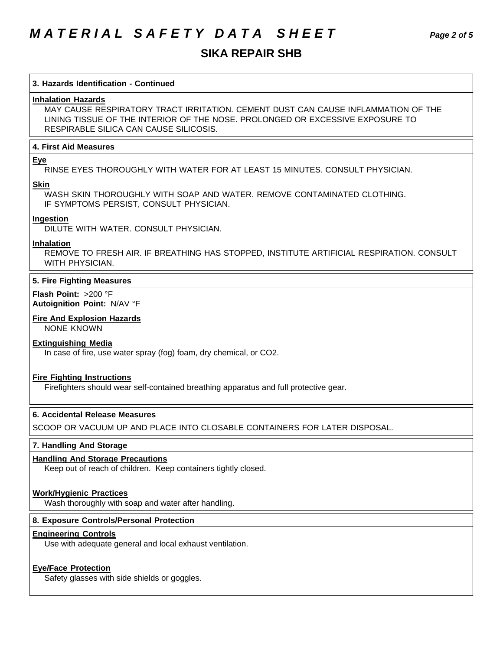# *M A T E R I A L S A F E T Y D A T A S H E E T Page 2 of 5*

## **SIKA REPAIR SHB**

| 3. Hazards Identification - Continued<br><b>Inhalation Hazards</b><br>MAY CAUSE RESPIRATORY TRACT IRRITATION. CEMENT DUST CAN CAUSE INFLAMMATION OF THE<br>LINING TISSUE OF THE INTERIOR OF THE NOSE, PROLONGED OR EXCESSIVE EXPOSURE TO<br>RESPIRABLE SILICA CAN CAUSE SILICOSIS.<br><b>4. First Aid Measures</b><br><b>Eye</b><br>RINSE EYES THOROUGHLY WITH WATER FOR AT LEAST 15 MINUTES, CONSULT PHYSICIAN.<br><b>Skin</b><br>WASH SKIN THOROUGHLY WITH SOAP AND WATER, REMOVE CONTAMINATED CLOTHING.<br>IF SYMPTOMS PERSIST, CONSULT PHYSICIAN.<br>Ingestion<br>DILUTE WITH WATER, CONSULT PHYSICIAN.<br>Inhalation<br>REMOVE TO FRESH AIR. IF BREATHING HAS STOPPED, INSTITUTE ARTIFICIAL RESPIRATION. CONSULT<br>WITH PHYSICIAN.<br>5. Fire Fighting Measures<br><b>Flash Point: &gt;200 °F</b><br>Autoignition Point: N/AV °F<br><b>Fire And Explosion Hazards</b><br><b>NONE KNOWN</b><br><b>Extinguishing Media</b><br>In case of fire, use water spray (fog) foam, dry chemical, or CO2.<br><b>Fire Fighting Instructions</b><br>Firefighters should wear self-contained breathing apparatus and full protective gear.<br>6. Accidental Release Measures<br>SCOOP OR VACUUM UP AND PLACE INTO CLOSABLE CONTAINERS FOR LATER DISPOSAL.<br>7. Handling And Storage<br><b>Handling And Storage Precautions</b> |
|-------------------------------------------------------------------------------------------------------------------------------------------------------------------------------------------------------------------------------------------------------------------------------------------------------------------------------------------------------------------------------------------------------------------------------------------------------------------------------------------------------------------------------------------------------------------------------------------------------------------------------------------------------------------------------------------------------------------------------------------------------------------------------------------------------------------------------------------------------------------------------------------------------------------------------------------------------------------------------------------------------------------------------------------------------------------------------------------------------------------------------------------------------------------------------------------------------------------------------------------------------------------------------------------------------------------------|
|                                                                                                                                                                                                                                                                                                                                                                                                                                                                                                                                                                                                                                                                                                                                                                                                                                                                                                                                                                                                                                                                                                                                                                                                                                                                                                                         |
|                                                                                                                                                                                                                                                                                                                                                                                                                                                                                                                                                                                                                                                                                                                                                                                                                                                                                                                                                                                                                                                                                                                                                                                                                                                                                                                         |
|                                                                                                                                                                                                                                                                                                                                                                                                                                                                                                                                                                                                                                                                                                                                                                                                                                                                                                                                                                                                                                                                                                                                                                                                                                                                                                                         |
|                                                                                                                                                                                                                                                                                                                                                                                                                                                                                                                                                                                                                                                                                                                                                                                                                                                                                                                                                                                                                                                                                                                                                                                                                                                                                                                         |
|                                                                                                                                                                                                                                                                                                                                                                                                                                                                                                                                                                                                                                                                                                                                                                                                                                                                                                                                                                                                                                                                                                                                                                                                                                                                                                                         |
|                                                                                                                                                                                                                                                                                                                                                                                                                                                                                                                                                                                                                                                                                                                                                                                                                                                                                                                                                                                                                                                                                                                                                                                                                                                                                                                         |
|                                                                                                                                                                                                                                                                                                                                                                                                                                                                                                                                                                                                                                                                                                                                                                                                                                                                                                                                                                                                                                                                                                                                                                                                                                                                                                                         |
|                                                                                                                                                                                                                                                                                                                                                                                                                                                                                                                                                                                                                                                                                                                                                                                                                                                                                                                                                                                                                                                                                                                                                                                                                                                                                                                         |
|                                                                                                                                                                                                                                                                                                                                                                                                                                                                                                                                                                                                                                                                                                                                                                                                                                                                                                                                                                                                                                                                                                                                                                                                                                                                                                                         |
|                                                                                                                                                                                                                                                                                                                                                                                                                                                                                                                                                                                                                                                                                                                                                                                                                                                                                                                                                                                                                                                                                                                                                                                                                                                                                                                         |
|                                                                                                                                                                                                                                                                                                                                                                                                                                                                                                                                                                                                                                                                                                                                                                                                                                                                                                                                                                                                                                                                                                                                                                                                                                                                                                                         |
|                                                                                                                                                                                                                                                                                                                                                                                                                                                                                                                                                                                                                                                                                                                                                                                                                                                                                                                                                                                                                                                                                                                                                                                                                                                                                                                         |
| Keep out of reach of children. Keep containers tightly closed.                                                                                                                                                                                                                                                                                                                                                                                                                                                                                                                                                                                                                                                                                                                                                                                                                                                                                                                                                                                                                                                                                                                                                                                                                                                          |
| <b>Work/Hygienic Practices</b><br>Wash thoroughly with soap and water after handling.                                                                                                                                                                                                                                                                                                                                                                                                                                                                                                                                                                                                                                                                                                                                                                                                                                                                                                                                                                                                                                                                                                                                                                                                                                   |
| 8. Exposure Controls/Personal Protection                                                                                                                                                                                                                                                                                                                                                                                                                                                                                                                                                                                                                                                                                                                                                                                                                                                                                                                                                                                                                                                                                                                                                                                                                                                                                |
| <b>Engineering Controls</b><br>Use with adequate general and local exhaust ventilation.                                                                                                                                                                                                                                                                                                                                                                                                                                                                                                                                                                                                                                                                                                                                                                                                                                                                                                                                                                                                                                                                                                                                                                                                                                 |
| <b>Eye/Face Protection</b><br>Safety glasses with side shields or goggles.                                                                                                                                                                                                                                                                                                                                                                                                                                                                                                                                                                                                                                                                                                                                                                                                                                                                                                                                                                                                                                                                                                                                                                                                                                              |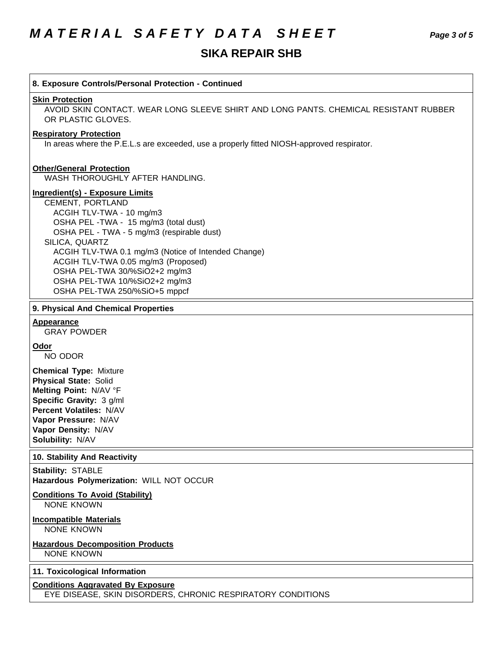### **SIKA REPAIR SHB**

### **8. Exposure Controls/Personal Protection - Continued Skin Protection** AVOID SKIN CONTACT. WEAR LONG SLEEVE SHIRT AND LONG PANTS. CHEMICAL RESISTANT RUBBER OR PLASTIC GLOVES. **Respiratory Protection** In areas where the P.E.L.s are exceeded, use a properly fitted NIOSH-approved respirator. **Other/General Protection** WASH THOROUGHLY AFTER HANDLING. **Ingredient(s) - Exposure Limits** CEMENT, PORTLAND ACGIH TLV-TWA - 10 mg/m3 OSHA PEL -TWA - 15 mg/m3 (total dust) OSHA PEL - TWA - 5 mg/m3 (respirable dust) SILICA, QUARTZ ACGIH TLV-TWA 0.1 mg/m3 (Notice of Intended Change) ACGIH TLV-TWA 0.05 mg/m3 (Proposed) OSHA PEL-TWA 30/%SiO2+2 mg/m3 OSHA PEL-TWA 10/%SiO2+2 mg/m3 OSHA PEL-TWA 250/%SiO+5 mppcf **9. Physical And Chemical Properties Appearance** GRAY POWDER **Odor** NO ODOR

**Chemical Type:** Mixture **Physical State:** Solid **Melting Point:** N/AV °F **Specific Gravity:** 3 g/ml **Percent Volatiles:** N/AV **Vapor Pressure:** N/AV **Vapor Density:** N/AV **Solubility:** N/AV

#### **10. Stability And Reactivity**

**Stability:** STABLE **Hazardous Polymerization:** WILL NOT OCCUR

#### **Conditions To Avoid (Stability)** NONE KNOWN

**Incompatible Materials** NONE KNOWN

#### **Hazardous Decomposition Products** NONE KNOWN

#### **11. Toxicological Information**

#### **Conditions Aggravated By Exposure** EYE DISEASE, SKIN DISORDERS, CHRONIC RESPIRATORY CONDITIONS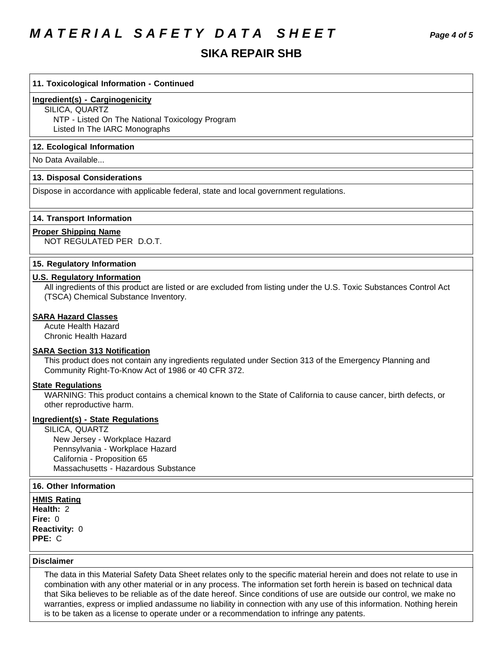## *M A T E R I A L S A F E T Y D A T A S H E E T Page 4 of 5*

### **SIKA REPAIR SHB**

#### **11. Toxicological Information - Continued**

#### **Ingredient(s) - Carginogenicity**

SILICA, QUARTZ NTP - Listed On The National Toxicology Program Listed In The IARC Monographs

#### **12. Ecological Information**

No Data Available...

#### **13. Disposal Considerations**

Dispose in accordance with applicable federal, state and local government regulations.

#### **14. Transport Information**

#### **Proper Shipping Name**

NOT REGULATED PER D.O.T.

#### **15. Regulatory Information**

#### **U.S. Regulatory Information**

All ingredients of this product are listed or are excluded from listing under the U.S. Toxic Substances Control Act (TSCA) Chemical Substance Inventory.

#### **SARA Hazard Classes**

Acute Health Hazard Chronic Health Hazard

#### **SARA Section 313 Notification**

This product does not contain any ingredients regulated under Section 313 of the Emergency Planning and Community Right-To-Know Act of 1986 or 40 CFR 372.

#### **State Regulations**

WARNING: This product contains a chemical known to the State of California to cause cancer, birth defects, or other reproductive harm.

#### **Ingredient(s) - State Regulations**

SILICA, QUARTZ

 New Jersey - Workplace Hazard Pennsylvania - Workplace Hazard California - Proposition 65 Massachusetts - Hazardous Substance

#### **16. Other Information**

**HMIS Rating Health:** 2 **Fire:** 0 **Reactivity:** 0 **PPE:** C

#### **Disclaimer**

The data in this Material Safety Data Sheet relates only to the specific material herein and does not relate to use in combination with any other material or in any process. The information set forth herein is based on technical data that Sika believes to be reliable as of the date hereof. Since conditions of use are outside our control, we make no warranties, express or implied andassume no liability in connection with any use of this information. Nothing herein is to be taken as a license to operate under or a recommendation to infringe any patents.